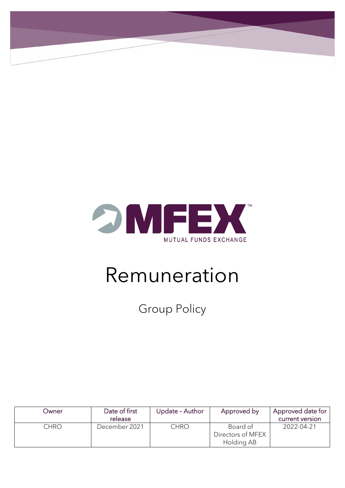

# Remuneration

Group Policy

| Owner | Date of first<br>release | Update - Author | Approved by                                 | Approved date for<br>current version |
|-------|--------------------------|-----------------|---------------------------------------------|--------------------------------------|
| CHRO  | December 2021            | <b>CHRO</b>     | Board of<br>Directors of MFEX<br>Holding AB | 2022-04-21                           |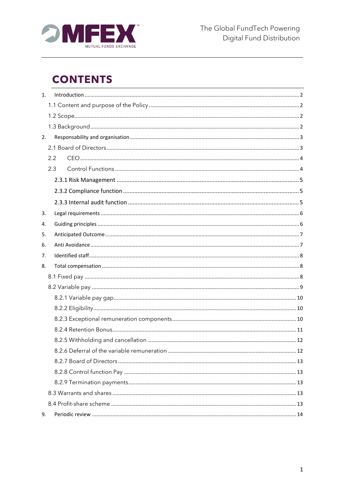

## **CONTENTS**

| 1. |     |  |
|----|-----|--|
|    |     |  |
|    |     |  |
|    |     |  |
| 2. |     |  |
|    |     |  |
|    | 2.2 |  |
|    | 2.3 |  |
|    |     |  |
|    |     |  |
|    |     |  |
| 3. |     |  |
| 4. |     |  |
| 5. |     |  |
| 6. |     |  |
| 7. |     |  |
| 8. |     |  |
|    |     |  |
|    |     |  |
|    |     |  |
|    |     |  |
|    |     |  |
|    |     |  |
|    |     |  |
|    |     |  |
|    |     |  |
|    |     |  |
|    |     |  |
|    |     |  |
|    |     |  |
| 9. |     |  |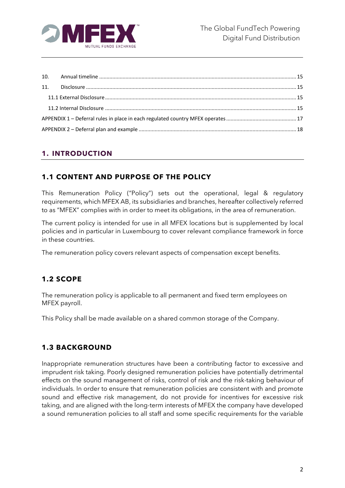

## <span id="page-2-0"></span>**1. INTRODUCTION**

## <span id="page-2-1"></span>**1.1 CONTENT AND PURPOSE OF THE POLICY**

This Remuneration Policy ("Policy") sets out the operational, legal & regulatory requirements, which MFEX AB, its subsidiaries and branches, hereafter collectively referred to as "MFEX" complies with in order to meet its obligations, in the area of remuneration.

The current policy is intended for use in all MFEX locations but is supplemented by local policies and in particular in Luxembourg to cover relevant compliance framework in force in these countries.

The remuneration policy covers relevant aspects of compensation except benefits.

## <span id="page-2-2"></span>**1.2 SCOPE**

The remuneration policy is applicable to all permanent and fixed term employees on MFEX payroll.

This Policy shall be made available on a shared common storage of the Company.

## <span id="page-2-3"></span>**1.3 BACKGROUND**

Inappropriate remuneration structures have been a contributing factor to excessive and imprudent risk taking. Poorly designed remuneration policies have potentially detrimental effects on the sound management of risks, control of risk and the risk-taking behaviour of individuals. In order to ensure that remuneration policies are consistent with and promote sound and effective risk management, do not provide for incentives for excessive risk taking, and are aligned with the long-term interests of MFEX the company have developed a sound remuneration policies to all staff and some specific requirements for the variable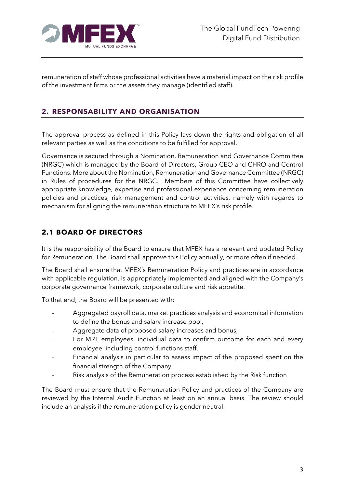

remuneration of staff whose professional activities have a material impact on the risk profile of the investment firms or the assets they manage (identified staff).

## <span id="page-3-0"></span>**2. RESPONSABILITY AND ORGANISATION**

The approval process as defined in this Policy lays down the rights and obligation of all relevant parties as well as the conditions to be fulfilled for approval.

Governance is secured through a Nomination, Remuneration and Governance Committee (NRGC) which is managed by the Board of Directors, Group CEO and CHRO and Control Functions. More about the Nomination, Remuneration and Governance Committee (NRGC) in Rules of procedures for the NRGC. Members of this Committee have collectively appropriate knowledge, expertise and professional experience concerning remuneration policies and practices, risk management and control activities, namely with regards to mechanism for aligning the remuneration structure to MFEX's risk profile.

## <span id="page-3-1"></span>**2.1 BOARD OF DIRECTORS**

It is the responsibility of the Board to ensure that MFEX has a relevant and updated Policy for Remuneration. The Board shall approve this Policy annually, or more often if needed.

The Board shall ensure that MFEX's Remuneration Policy and practices are in accordance with applicable regulation, is appropriately implemented and aligned with the Company's corporate governance framework, corporate culture and risk appetite.

To that end, the Board will be presented with:

- Aggregated payroll data, market practices analysis and economical information to define the bonus and salary increase pool,
- Aggregate data of proposed salary increases and bonus,
- For MRT employees, individual data to confirm outcome for each and every employee, including control functions staff,
- Financial analysis in particular to assess impact of the proposed spent on the financial strength of the Company,
- Risk analysis of the Remuneration process established by the Risk function

The Board must ensure that the Remuneration Policy and practices of the Company are reviewed by the Internal Audit Function at least on an annual basis. The review should include an analysis if the remuneration policy is gender neutral.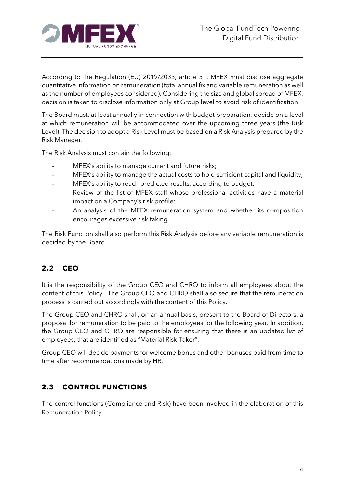

According to the Regulation (EU) 2019/2033, article 51, MFEX must disclose aggregate quantitative information on remuneration (total annual fix and variable remuneration as well as the number of employees considered). Considering the size and global spread of MFEX, decision is taken to disclose information only at Group level to avoid risk of identification.

The Board must, at least annually in connection with budget preparation, decide on a level at which remuneration will be accommodated over the upcoming three years (the Risk Level). The decision to adopt a Risk Level must be based on a Risk Analysis prepared by the Risk Manager.

The Risk Analysis must contain the following:

- MFEX's ability to manage current and future risks;
- MFEX's ability to manage the actual costs to hold sufficient capital and liquidity;
- MFEX's ability to reach predicted results, according to budget;
- Review of the list of MFEX staff whose professional activities have a material impact on a Company's risk profile;
- An analysis of the MFEX remuneration system and whether its composition encourages excessive risk taking.

The Risk Function shall also perform this Risk Analysis before any variable remuneration is decided by the Board.

## <span id="page-4-0"></span>**2.2 CEO**

It is the responsibility of the Group CEO and CHRO to inform all employees about the content of this Policy. The Group CEO and CHRO shall also secure that the remuneration process is carried out accordingly with the content of this Policy.

The Group CEO and CHRO shall, on an annual basis, present to the Board of Directors, a proposal for remuneration to be paid to the employees for the following year. In addition, the Group CEO and CHRO are responsible for ensuring that there is an updated list of employees, that are identified as "Material Risk Taker".

Group CEO will decide payments for welcome bonus and other bonuses paid from time to time after recommendations made by HR.

## <span id="page-4-1"></span>**2.3 CONTROL FUNCTIONS**

The control functions (Compliance and Risk) have been involved in the elaboration of this Remuneration Policy.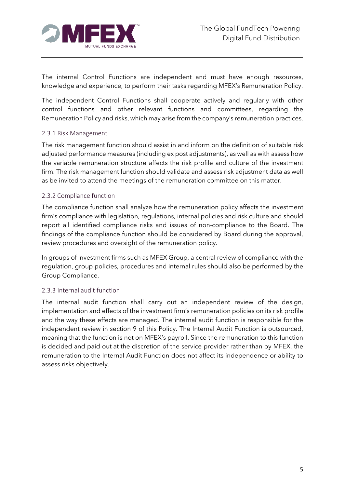

The internal Control Functions are independent and must have enough resources, knowledge and experience, to perform their tasks regarding MFEX's Remuneration Policy.

The independent Control Functions shall cooperate actively and regularly with other control functions and other relevant functions and committees, regarding the Remuneration Policy and risks, which may arise from the company's remuneration practices.

#### <span id="page-5-0"></span>2.3.1 Risk Management

The risk management function should assist in and inform on the definition of suitable risk adjusted performance measures (including ex post adjustments), as well as with assess how the variable remuneration structure affects the risk profile and culture of the investment firm. The risk management function should validate and assess risk adjustment data as well as be invited to attend the meetings of the remuneration committee on this matter.

#### <span id="page-5-1"></span>2.3.2 Compliance function

The compliance function shall analyze how the remuneration policy affects the investment firm's compliance with legislation, regulations, internal policies and risk culture and should report all identified compliance risks and issues of non-compliance to the Board. The findings of the compliance function should be considered by Board during the approval, review procedures and oversight of the remuneration policy.

In groups of investment firms such as MFEX Group, a central review of compliance with the regulation, group policies, procedures and internal rules should also be performed by the Group Compliance.

#### <span id="page-5-2"></span>2.3.3 Internal audit function

The internal audit function shall carry out an independent review of the design, implementation and effects of the investment firm's remuneration policies on its risk profile and the way these effects are managed. The internal audit function is responsible for the independent review in section 9 of this Policy. The Internal Audit Function is outsourced, meaning that the function is not on MFEX's payroll. Since the remuneration to this function is decided and paid out at the discretion of the service provider rather than by MFEX, the remuneration to the Internal Audit Function does not affect its independence or ability to assess risks objectively.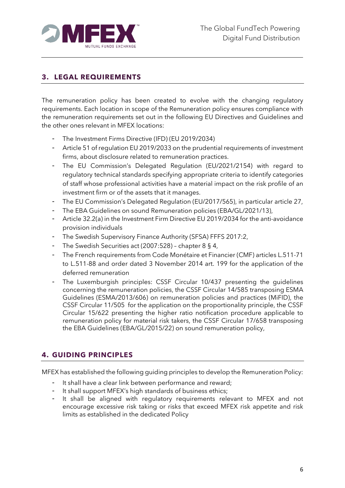

## <span id="page-6-0"></span>**3. LEGAL REQUIREMENTS**

The remuneration policy has been created to evolve with the changing regulatory requirements. Each location in scope of the Remuneration policy ensures compliance with the remuneration requirements set out in the following EU Directives and Guidelines and the other ones relevant in MFEX locations:

- The Investment Firms Directive (IFD) (EU 2019/2034)
- Article 51 of regulation EU 2019/2033 on the prudential requirements of investment firms, about disclosure related to remuneration practices.
- The EU Commission's Delegated Regulation (EU/2021/2154) with regard to regulatory technical standards specifying appropriate criteria to identify categories of staff whose professional activities have a material impact on the risk profile of an investment firm or of the assets that it manages.
- The EU Commission's Delegated Regulation (EU/2017/565), in particular article 27,
- The EBA Guidelines on sound Remuneration policies (EBA/GL/2021/13),
- Article 32.2(a) in the Investment Firm Directive EU 2019/2034 for the anti-avoidance provision individuals
- The Swedish Supervisory Finance Authority (SFSA) FFFS 2017:2,
- The Swedish Securities act (2007:528) chapter 8 § 4,
- The French requirements from Code Monétaire et Financier (CMF) articles L.511-71 to L.511-88 and order dated 3 November 2014 art. 199 for the application of the deferred remuneration
- The Luxemburgish principles: CSSF Circular 10/437 presenting the guidelines concerning the remuneration policies, the CSSF Circular 14/585 transposing ESMA Guidelines (ESMA/2013/606) on remuneration policies and practices (MiFID), the CSSF Circular 11/505 for the application on the proportionality principle, the CSSF Circular 15/622 presenting the higher ratio notification procedure applicable to remuneration policy for material risk takers, the CSSF Circular 17/658 transposing the EBA Guidelines (EBA/GL/2015/22) on sound remuneration policy,

## <span id="page-6-1"></span>**4. GUIDING PRINCIPLES**

MFEX has established the following guiding principles to develop the Remuneration Policy:

- It shall have a clear link between performance and reward;
- It shall support MFEX's high standards of business ethics;
- It shall be aligned with regulatory requirements relevant to MFEX and not encourage excessive risk taking or risks that exceed MFEX risk appetite and risk limits as established in the dedicated Policy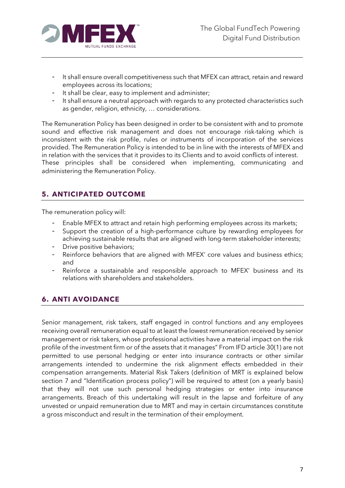

- It shall ensure overall competitiveness such that MFEX can attract, retain and reward employees across its locations;
- It shall be clear, easy to implement and administer;
- It shall ensure a neutral approach with regards to any protected characteristics such as gender, religion, ethnicity, … considerations.

The Remuneration Policy has been designed in order to be consistent with and to promote sound and effective risk management and does not encourage risk-taking which is inconsistent with the risk profile, rules or instruments of incorporation of the services provided. The Remuneration Policy is intended to be in line with the interests of MFEX and in relation with the services that it provides to its Clients and to avoid conflicts of interest. These principles shall be considered when implementing, communicating and administering the Remuneration Policy.

## <span id="page-7-0"></span>**5. ANTICIPATED OUTCOME**

The remuneration policy will:

- Enable MFEX to attract and retain high performing employees across its markets;
- Support the creation of a high-performance culture by rewarding employees for achieving sustainable results that are aligned with long-term stakeholder interests;
- Drive positive behaviors;
- Reinforce behaviors that are aligned with MFEX' core values and business ethics; and
- Reinforce a sustainable and responsible approach to MFEX' business and its relations with shareholders and stakeholders.

## <span id="page-7-1"></span>**6. ANTI AVOIDANCE**

Senior management, risk takers, staff engaged in control functions and any employees receiving overall remuneration equal to at least the lowest remuneration received by senior management or risk takers, whose professional activities have a material impact on the risk profile of the investment firm or of the assets that it manages" From IFD article 30(1) are not permitted to use personal hedging or enter into insurance contracts or other similar arrangements intended to undermine the risk alignment effects embedded in their compensation arrangements. Material Risk Takers (definition of MRT is explained below section 7 and "Identification process policy") will be required to attest (on a yearly basis) that they will not use such personal hedging strategies or enter into insurance arrangements. Breach of this undertaking will result in the lapse and forfeiture of any unvested or unpaid remuneration due to MRT and may in certain circumstances constitute a gross misconduct and result in the termination of their employment.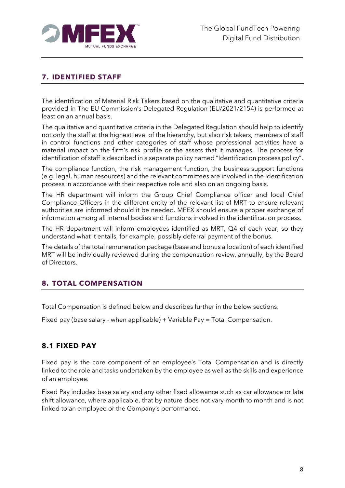

## <span id="page-8-0"></span>**7. IDENTIFIED STAFF**

The identification of Material Risk Takers based on the qualitative and quantitative criteria provided in The EU Commission's Delegated Regulation (EU/2021/2154) is performed at least on an annual basis.

The qualitative and quantitative criteria in the Delegated Regulation should help to identify not only the staff at the highest level of the hierarchy, but also risk takers, members of staff in control functions and other categories of staff whose professional activities have a material impact on the firm's risk profile or the assets that it manages. The process for identification of staff is described in a separate policy named "Identification process policy".

The compliance function, the risk management function, the business support functions (e.g. legal, human resources) and the relevant committees are involved in the identification process in accordance with their respective role and also on an ongoing basis.

The HR department will inform the Group Chief Compliance officer and local Chief Compliance Officers in the different entity of the relevant list of MRT to ensure relevant authorities are informed should it be needed. MFEX should ensure a proper exchange of information among all internal bodies and functions involved in the identification process.

The HR department will inform employees identified as MRT, Q4 of each year, so they understand what it entails, for example, possibly deferral payment of the bonus.

The details of the total remuneration package (base and bonus allocation) of each identified MRT will be individually reviewed during the compensation review, annually, by the Board of Directors.

#### <span id="page-8-1"></span>**8. TOTAL COMPENSATION**

Total Compensation is defined below and describes further in the below sections:

Fixed pay (base salary - when applicable) + Variable Pay = Total Compensation.

## <span id="page-8-2"></span>**8.1 FIXED PAY**

Fixed pay is the core component of an employee's Total Compensation and is directly linked to the role and tasks undertaken by the employee as well as the skills and experience of an employee.

Fixed Pay includes base salary and any other fixed allowance such as car allowance or late shift allowance, where applicable, that by nature does not vary month to month and is not linked to an employee or the Company's performance.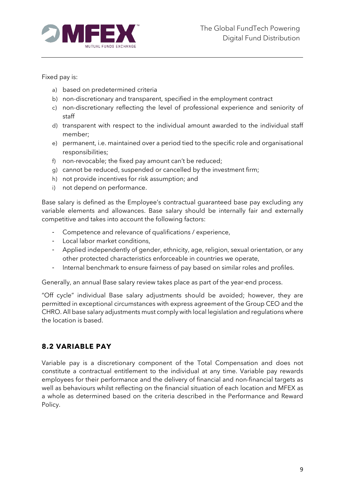

Fixed pay is:

- a) based on predetermined criteria
- b) non-discretionary and transparent, specified in the employment contract
- c) non-discretionary reflecting the level of professional experience and seniority of staff
- d) transparent with respect to the individual amount awarded to the individual staff member;
- e) permanent, i.e. maintained over a period tied to the specific role and organisational responsibilities;
- f) non-revocable; the fixed pay amount can't be reduced;
- g) cannot be reduced, suspended or cancelled by the investment firm;
- h) not provide incentives for risk assumption; and
- i) not depend on performance.

Base salary is defined as the Employee's contractual guaranteed base pay excluding any variable elements and allowances. Base salary should be internally fair and externally competitive and takes into account the following factors:

- Competence and relevance of qualifications / experience,
- Local labor market conditions,
- Applied independently of gender, ethnicity, age, religion, sexual orientation, or any other protected characteristics enforceable in countries we operate,
- Internal benchmark to ensure fairness of pay based on similar roles and profiles.

Generally, an annual Base salary review takes place as part of the year-end process.

"Off cycle" individual Base salary adjustments should be avoided; however, they are permitted in exceptional circumstances with express agreement of the Group CEO and the CHRO. All base salary adjustments must comply with local legislation and regulations where the location is based.

## <span id="page-9-0"></span>**8.2 VARIABLE PAY**

Variable pay is a discretionary component of the Total Compensation and does not constitute a contractual entitlement to the individual at any time. Variable pay rewards employees for their performance and the delivery of financial and non-financial targets as well as behaviours whilst reflecting on the financial situation of each location and MFEX as a whole as determined based on the criteria described in the Performance and Reward Policy.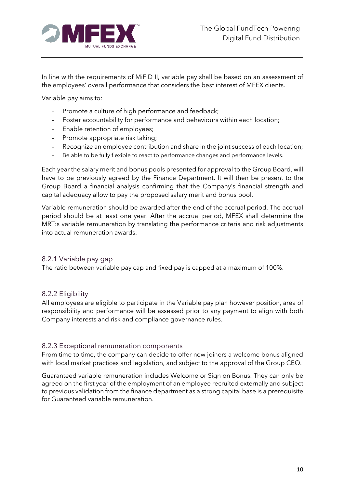

In line with the requirements of MiFID II, variable pay shall be based on an assessment of the employees' overall performance that considers the best interest of MFEX clients.

Variable pay aims to:

- Promote a culture of high performance and feedback;
- Foster accountability for performance and behaviours within each location;
- Enable retention of employees;
- Promote appropriate risk taking;
- Recognize an employee contribution and share in the joint success of each location;
- Be able to be fully flexible to react to performance changes and performance levels.

Each year the salary merit and bonus pools presented for approval to the Group Board, will have to be previously agreed by the Finance Department. It will then be present to the Group Board a financial analysis confirming that the Company's financial strength and capital adequacy allow to pay the proposed salary merit and bonus pool.

Variable remuneration should be awarded after the end of the accrual period. The accrual period should be at least one year. After the accrual period, MFEX shall determine the MRT:s variable remuneration by translating the performance criteria and risk adjustments into actual remuneration awards.

#### <span id="page-10-0"></span>8.2.1 Variable pay gap

The ratio between variable pay cap and fixed pay is capped at a maximum of 100%.

#### <span id="page-10-1"></span>8.2.2 Eligibility

All employees are eligible to participate in the Variable pay plan however position, area of responsibility and performance will be assessed prior to any payment to align with both Company interests and risk and compliance governance rules.

#### <span id="page-10-2"></span>8.2.3 Exceptional remuneration components

From time to time, the company can decide to offer new joiners a welcome bonus aligned with local market practices and legislation, and subject to the approval of the Group CEO.

Guaranteed variable remuneration includes Welcome or Sign on Bonus. They can only be agreed on the first year of the employment of an employee recruited externally and subject to previous validation from the finance department as a strong capital base is a prerequisite for Guaranteed variable remuneration.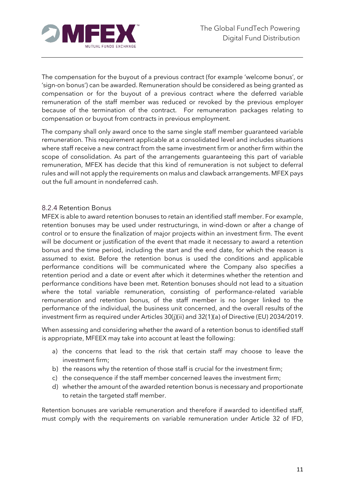

The compensation for the buyout of a previous contract (for example 'welcome bonus', or 'sign-on bonus') can be awarded. Remuneration should be considered as being granted as compensation or for the buyout of a previous contract where the deferred variable remuneration of the staff member was reduced or revoked by the previous employer because of the termination of the contract. For remuneration packages relating to compensation or buyout from contracts in previous employment.

The company shall only award once to the same single staff member guaranteed variable remuneration. This requirement applicable at a consolidated level and includes situations where staff receive a new contract from the same investment firm or another firm within the scope of consolidation. As part of the arrangements guaranteeing this part of variable remuneration, MFEX has decide that this kind of remuneration is not subject to deferral rules and will not apply the requirements on malus and clawback arrangements. MFEX pays out the full amount in nondeferred cash.

#### <span id="page-11-0"></span>8.2.4 Retention Bonus

MFEX is able to award retention bonuses to retain an identified staff member. For example, retention bonuses may be used under restructurings, in wind-down or after a change of control or to ensure the finalization of major projects within an investment firm. The event will be document or justification of the event that made it necessary to award a retention bonus and the time period, including the start and the end date, for which the reason is assumed to exist. Before the retention bonus is used the conditions and applicable performance conditions will be communicated where the Company also specifies a retention period and a date or event after which it determines whether the retention and performance conditions have been met. Retention bonuses should not lead to a situation where the total variable remuneration, consisting of performance-related variable remuneration and retention bonus, of the staff member is no longer linked to the performance of the individual, the business unit concerned, and the overall results of the investment firm as required under Articles 30(j)(ii) and 32(1)(a) of Directive (EU) 2034/2019.

When assessing and considering whether the award of a retention bonus to identified staff is appropriate, MFEEX may take into account at least the following:

- a) the concerns that lead to the risk that certain staff may choose to leave the investment firm;
- b) the reasons why the retention of those staff is crucial for the investment firm;
- c) the consequence if the staff member concerned leaves the investment firm;
- d) whether the amount of the awarded retention bonus is necessary and proportionate to retain the targeted staff member.

Retention bonuses are variable remuneration and therefore if awarded to identified staff, must comply with the requirements on variable remuneration under Article 32 of IFD,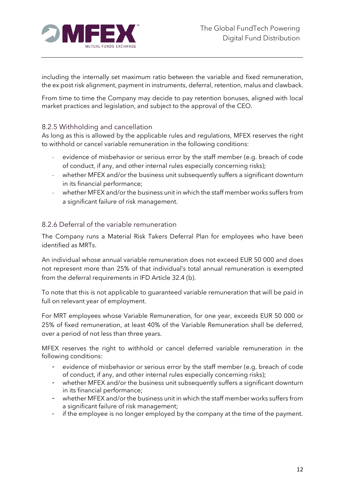

including the internally set maximum ratio between the variable and fixed remuneration, the ex post risk alignment, payment in instruments, deferral, retention, malus and clawback.

From time to time the Company may decide to pay retention bonuses, aligned with local market practices and legislation, and subject to the approval of the CEO.

#### <span id="page-12-0"></span>8.2.5 Withholding and cancellation

As long as this is allowed by the applicable rules and regulations, MFEX reserves the right to withhold or cancel variable remuneration in the following conditions:

- evidence of misbehavior or serious error by the staff member (e.g. breach of code of conduct, if any, and other internal rules especially concerning risks);
- whether MFEX and/or the business unit subsequently suffers a significant downturn in its financial performance;
- whether MFEX and/or the business unit in which the staff member works suffers from a significant failure of risk management.

#### <span id="page-12-1"></span>8.2.6 Deferral of the variable remuneration

The Company runs a Material Risk Takers Deferral Plan for employees who have been identified as MRTs.

An individual whose annual variable remuneration does not exceed EUR 50 000 and does not represent more than 25% of that individual's total annual remuneration is exempted from the deferral requirements in IFD Article 32.4 (b).

To note that this is not applicable to guaranteed variable remuneration that will be paid in full on relevant year of employment.

For MRT employees whose Variable Remuneration, for one year, exceeds EUR 50 000 or 25% of fixed remuneration, at least 40% of the Variable Remuneration shall be deferred, over a period of not less than three years.

MFEX reserves the right to withhold or cancel deferred variable remuneration in the following conditions:

- evidence of misbehavior or serious error by the staff member (e.g. breach of code of conduct, if any, and other internal rules especially concerning risks);
- whether MFEX and/or the business unit subsequently suffers a significant downturn in its financial performance;
- whether MFEX and/or the business unit in which the staff member works suffers from a significant failure of risk management;
- if the employee is no longer employed by the company at the time of the payment.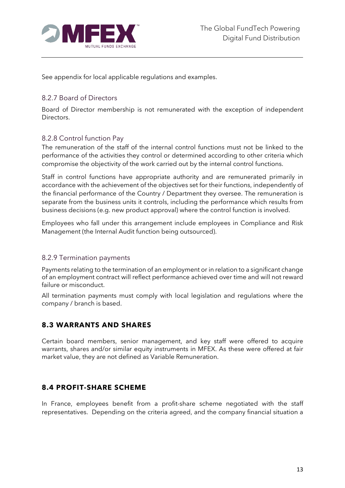

See appendix for local applicable regulations and examples.

## <span id="page-13-0"></span>8.2.7 Board of Directors

Board of Director membership is not remunerated with the exception of independent Directors.

## <span id="page-13-1"></span>8.2.8 Control function Pay

The remuneration of the staff of the internal control functions must not be linked to the performance of the activities they control or determined according to other criteria which compromise the objectivity of the work carried out by the internal control functions.

Staff in control functions have appropriate authority and are remunerated primarily in accordance with the achievement of the objectives set for their functions, independently of the financial performance of the Country / Department they oversee. The remuneration is separate from the business units it controls, including the performance which results from business decisions (e.g. new product approval) where the control function is involved.

Employees who fall under this arrangement include employees in Compliance and Risk Management (the Internal Audit function being outsourced).

#### <span id="page-13-2"></span>8.2.9 Termination payments

Payments relating to the termination of an employment or in relation to a significant change of an employment contract will reflect performance achieved over time and will not reward failure or misconduct.

All termination payments must comply with local legislation and regulations where the company / branch is based.

## <span id="page-13-3"></span>**8.3 WARRANTS AND SHARES**

Certain board members, senior management, and key staff were offered to acquire warrants, shares and/or similar equity instruments in MFEX. As these were offered at fair market value, they are not defined as Variable Remuneration.

#### <span id="page-13-4"></span>**8.4 PROFIT-SHARE SCHEME**

In France, employees benefit from a profit-share scheme negotiated with the staff representatives. Depending on the criteria agreed, and the company financial situation a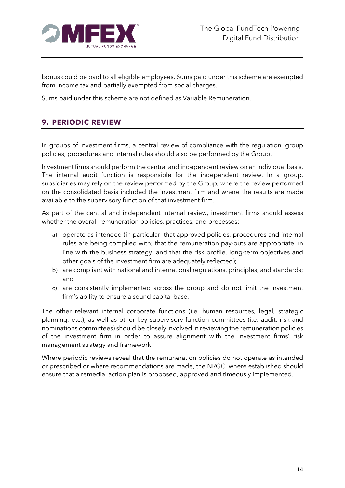

bonus could be paid to all eligible employees. Sums paid under this scheme are exempted from income tax and partially exempted from social charges.

Sums paid under this scheme are not defined as Variable Remuneration.

## <span id="page-14-0"></span>**9. PERIODIC REVIEW**

In groups of investment firms, a central review of compliance with the regulation, group policies, procedures and internal rules should also be performed by the Group.

Investment firms should perform the central and independent review on an individual basis. The internal audit function is responsible for the independent review. In a group, subsidiaries may rely on the review performed by the Group, where the review performed on the consolidated basis included the investment firm and where the results are made available to the supervisory function of that investment firm.

As part of the central and independent internal review, investment firms should assess whether the overall remuneration policies, practices, and processes:

- a) operate as intended (in particular, that approved policies, procedures and internal rules are being complied with; that the remuneration pay-outs are appropriate, in line with the business strategy; and that the risk profile, long-term objectives and other goals of the investment firm are adequately reflected);
- b) are compliant with national and international regulations, principles, and standards; and
- c) are consistently implemented across the group and do not limit the investment firm's ability to ensure a sound capital base.

The other relevant internal corporate functions (i.e. human resources, legal, strategic planning, etc.), as well as other key supervisory function committees (i.e. audit, risk and nominations committees) should be closely involved in reviewing the remuneration policies of the investment firm in order to assure alignment with the investment firms' risk management strategy and framework

Where periodic reviews reveal that the remuneration policies do not operate as intended or prescribed or where recommendations are made, the NRGC, where established should ensure that a remedial action plan is proposed, approved and timeously implemented.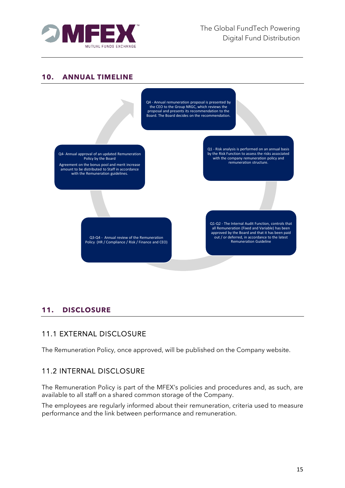

#### <span id="page-15-0"></span>**10. ANNUAL TIMELINE**



## <span id="page-15-1"></span>**11. DISCLOSURE**

## <span id="page-15-2"></span>11.1 EXTERNAL DISCLOSURE

The Remuneration Policy, once approved, will be published on the Company website.

## <span id="page-15-3"></span>11.2 INTERNAL DISCLOSURE

The Remuneration Policy is part of the MFEX's policies and procedures and, as such, are available to all staff on a shared common storage of the Company.

The employees are regularly informed about their remuneration, criteria used to measure performance and the link between performance and remuneration.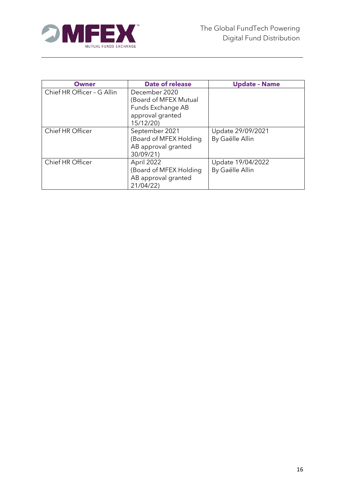

| Owner                      | <b>Date of release</b> | <b>Update - Name</b> |  |
|----------------------------|------------------------|----------------------|--|
| Chief HR Officer - G Allin | December 2020          |                      |  |
|                            | (Board of MFEX Mutual  |                      |  |
|                            | Funds Exchange AB      |                      |  |
|                            | approval granted       |                      |  |
|                            | 15/12/20)              |                      |  |
| Chief HR Officer           | September 2021         | Update 29/09/2021    |  |
|                            | (Board of MFEX Holding | By Gaëlle Allin      |  |
|                            | AB approval granted    |                      |  |
|                            | 30/09/21)              |                      |  |
| Chief HR Officer           | April 2022             | Update 19/04/2022    |  |
|                            | (Board of MFEX Holding | By Gaëlle Allin      |  |
|                            | AB approval granted    |                      |  |
|                            | 21/04/22)              |                      |  |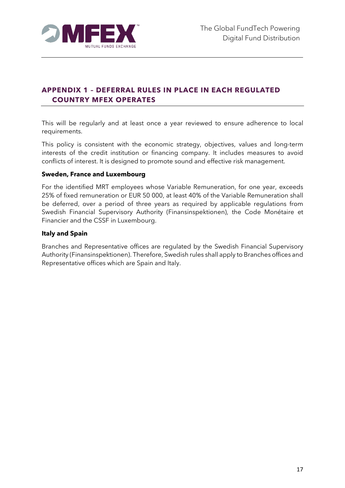

## <span id="page-17-0"></span>**APPENDIX 1 – DEFERRAL RULES IN PLACE IN EACH REGULATED COUNTRY MFEX OPERATES**

This will be regularly and at least once a year reviewed to ensure adherence to local requirements.

This policy is consistent with the economic strategy, objectives, values and long-term interests of the credit institution or financing company. It includes measures to avoid conflicts of interest. It is designed to promote sound and effective risk management.

#### **Sweden, France and Luxembourg**

For the identified MRT employees whose Variable Remuneration, for one year, exceeds 25% of fixed remuneration or EUR 50 000, at least 40% of the Variable Remuneration shall be deferred, over a period of three years as required by applicable regulations from Swedish Financial Supervisory Authority (Finansinspektionen), the Code Monétaire et Financier and the CSSF in Luxembourg.

#### **Italy and Spain**

Branches and Representative offices are regulated by the Swedish Financial Supervisory Authority (Finansinspektionen). Therefore, Swedish rules shall apply to Branches offices and Representative offices which are Spain and Italy.